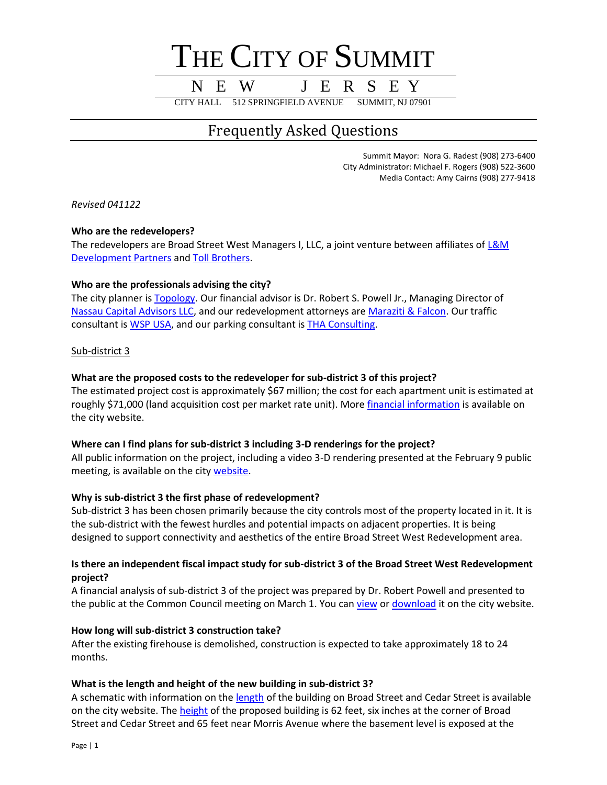# THE CITY OF SUMMIT

## N E W J E R S E Y

CITY HALL 512 SPRINGFIELD AVENUE SUMMIT, NJ 07901

### Frequently Asked Questions

Summit Mayor: Nora G. Radest (908) 273-6400 City Administrator: Michael F. Rogers (908) 522-3600 Media Contact: Amy Cairns (908) 277-9418

*Revised 041122*

#### **Who are the redevelopers?**

The redevelopers are Broad Street West Managers I, LLC, a joint venture between affiliates of L&M [Development Partners](https://lmdevpartners.com/) an[d Toll Brothers.](https://www.tollbrothers.com/)

#### **Who are the professionals advising the city?**

The city planner i[s Topology.](https://topology.is/) Our financial advisor is Dr. Robert S. Powell Jr., Managing Director of [Nassau Capital Advisors LLC,](http://www.nassaucap.com/) and our redevelopment attorneys ar[e Maraziti & Falcon.](https://mfhlaw.com/) Our traffic consultant is [WSP USA,](https://www.wsp.com/en-US) and our parking consultant is [THA Consulting.](https://www.tha-consulting.com/expertise/services/parking-consulting/)

Sub-district 3

#### **What are the proposed costs to the redeveloper for sub-district 3 of this project?**

The estimated project cost is approximately \$67 million; the cost for each apartment unit is estimated at roughly \$71,000 (land acquisition cost per market rate unit). Mor[e financial information](https://www.cityofsummit.org/DocumentCenter/View/7571/BSW-PILOT-Presentation-030122) is available on the city website.

#### **Where can I find plans for sub-district 3 including 3-D renderings for the project?**

All public information on the project, including a video 3-D rendering presented at the February 9 public meeting, is available on the city [website.](https://www.cityofsummit.org/bsw)

#### **Why is sub-district 3 the first phase of redevelopment?**

Sub-district 3 has been chosen primarily because the city controls most of the property located in it. It is the sub-district with the fewest hurdles and potential impacts on adjacent properties. It is being designed to support connectivity and aesthetics of the entire Broad Street West Redevelopment area.

#### **Is there an independent fiscal impact study for sub-district 3 of the Broad Street West Redevelopment project?**

A financial analysis of sub-district 3 of the project was prepared by Dr. Robert Powell and presented to the public at the Common Council meeting on March 1. You can [view](https://www.youtube.com/watch?v=hQnBJl9VvrM) o[r download](https://www.cityofsummit.org/DocumentCenter/View/7571/BSW-PILOT-Presentation-030122) it on the city website.

#### **How long will sub-district 3 construction take?**

After the existing firehouse is demolished, construction is expected to take approximately 18 to 24 months.

#### **What is the length and height of the new building in sub-district 3?**

A schematic with information on the [length](https://www.cityofsummit.org/DocumentCenter/View/7629/Sub-district-3-frontage-lengths) of the building on Broad Street and Cedar Street is available on the city website. The [height](https://www.cityofsummit.org/DocumentCenter/View/8010/Subdistrict-3-building-height) of the proposed building is 62 feet, six inches at the corner of Broad Street and Cedar Street and 65 feet near Morris Avenue where the basement level is exposed at the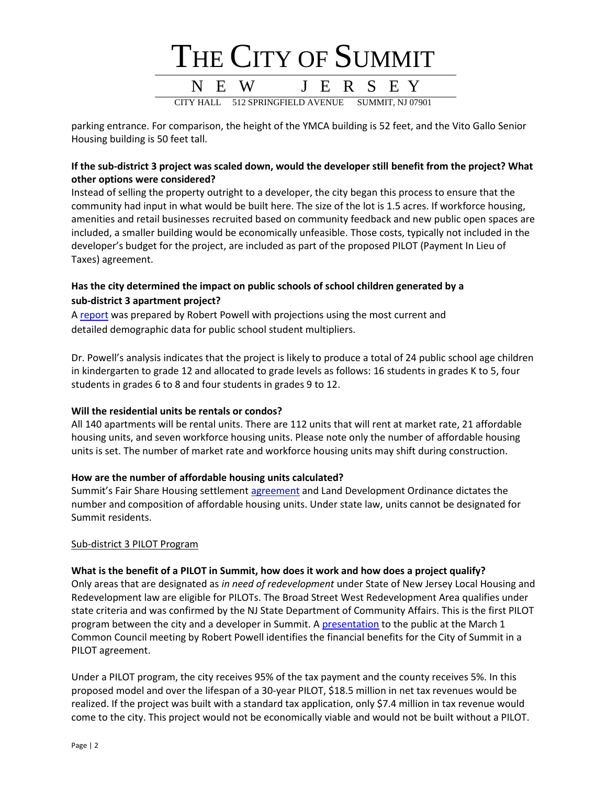

parking entrance. For comparison, the height of the YMCA building is 52 feet, and the Vito Gallo Senior Housing building is 50 feet tall.

#### **If the sub-district 3 project was scaled down, would the developer still benefit from the project? What other options were considered?**

Instead of selling the property outright to a developer, the city began this process to ensure that the community had input in what would be built here. The size of the lot is 1.5 acres. If workforce housing, amenities and retail businesses recruited based on community feedback and new public open spaces are included, a smaller building would be economically unfeasible. Those costs, typically not included in the developer's budget for the project, are included as part of the proposed PILOT (Payment In Lieu of Taxes) agreement.

#### **Has the city determined the impact on public schools of school children generated by a sub-district 3 apartment project?**

A [report](https://www.cityofsummit.org/DocumentCenter/View/7628/Impact-Report-140-Unit-Project-BSW-Subdist-3) was prepared by Robert Powell with projections using the most current and detailed demographic data for public school student multipliers.

Dr. Powell's analysis indicates that the project is likely to produce a total of 24 public school age children in kindergarten to grade 12 and allocated to grade levels as follows: 16 students in grades K to 5, four students in grades 6 to 8 and four students in grades 9 to 12.

#### **Will the residential units be rentals or condos?**

All 140 apartments will be rental units. There are 112 units that will rent at market rate, 21 affordable housing units, and seven workforce housing units. Please note only the number of affordable housing units is set. The number of market rate and workforce housing units may shift during construction.

#### **How are the number of affordable housing units calculated?**

Summit's Fair Share Housing settlement [agreement](https://www.cityofsummit.org/DocumentCenter/View/1555/Fair-Share-Housing-Center-Agreement-PDF?bidId=) and Land Development Ordinance dictates the number and composition of affordable housing units. Under state law, units cannot be designated for Summit residents.

#### Sub-district 3 PILOT Program

#### **What is the benefit of a PILOT in Summit, how does it work and how does a project qualify?**

Only areas that are designated as *in need of redevelopment* under State of New Jersey Local Housing and Redevelopment law are eligible for PILOTs. The Broad Street West Redevelopment Area qualifies under state criteria and was confirmed by the NJ State Department of Community Affairs. This is the first PILOT program between the city and a developer in Summit. A [presentation](https://www.cityofsummit.org/DocumentCenter/View/7571/BSW-PILOT-Presentation-030122) to the public at the March 1 Common Council meeting by Robert Powell identifies the financial benefits for the City of Summit in a PILOT agreement.

Under a PILOT program, the city receives 95% of the tax payment and the county receives 5%. In this proposed model and over the lifespan of a 30-year PILOT, \$18.5 million in net tax revenues would be realized. If the project was built with a standard tax application, only \$7.4 million in tax revenue would come to the city. This project would not be economically viable and would not be built without a PILOT.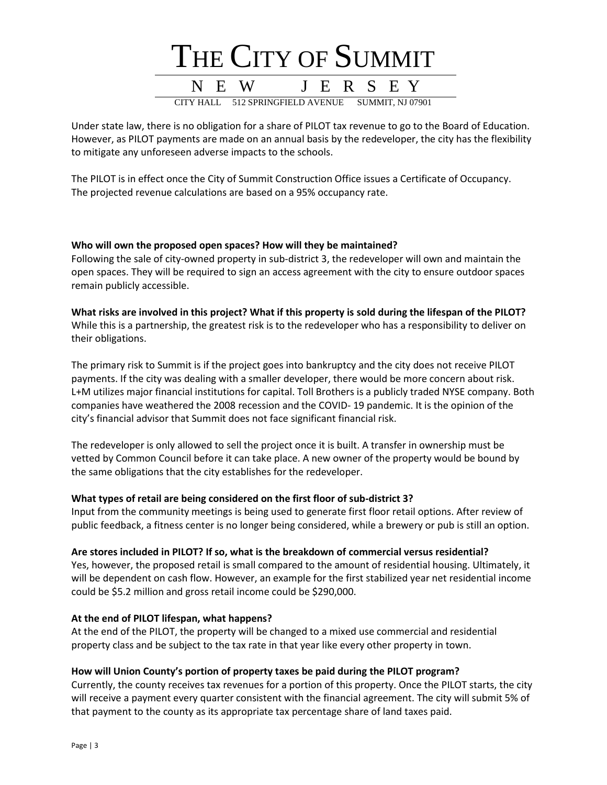

Under state law, there is no obligation for a share of PILOT tax revenue to go to the Board of Education. However, as PILOT payments are made on an annual basis by the redeveloper, the city has the flexibility to mitigate any unforeseen adverse impacts to the schools.

The PILOT is in effect once the City of Summit Construction Office issues a Certificate of Occupancy. The projected revenue calculations are based on a 95% occupancy rate.

#### **Who will own the proposed open spaces? How will they be maintained?**

Following the sale of city-owned property in sub-district 3, the redeveloper will own and maintain the open spaces. They will be required to sign an access agreement with the city to ensure outdoor spaces remain publicly accessible.

**What risks are involved in this project? What if this property is sold during the lifespan of the PILOT?** While this is a partnership, the greatest risk is to the redeveloper who has a responsibility to deliver on their obligations.

The primary risk to Summit is if the project goes into bankruptcy and the city does not receive PILOT payments. If the city was dealing with a smaller developer, there would be more concern about risk. L+M utilizes major financial institutions for capital. Toll Brothers is a publicly traded NYSE company. Both companies have weathered the 2008 recession and the COVID- 19 pandemic. It is the opinion of the city's financial advisor that Summit does not face significant financial risk.

The redeveloper is only allowed to sell the project once it is built. A transfer in ownership must be vetted by Common Council before it can take place. A new owner of the property would be bound by the same obligations that the city establishes for the redeveloper.

#### **What types of retail are being considered on the first floor of sub-district 3?**

Input from the community meetings is being used to generate first floor retail options. After review of public feedback, a fitness center is no longer being considered, while a brewery or pub is still an option.

#### **Are stores included in PILOT? If so, what is the breakdown of commercial versus residential?**

Yes, however, the proposed retail is small compared to the amount of residential housing. Ultimately, it will be dependent on cash flow. However, an example for the first stabilized year net residential income could be \$5.2 million and gross retail income could be \$290,000.

#### **At the end of PILOT lifespan, what happens?**

At the end of the PILOT, the property will be changed to a mixed use commercial and residential property class and be subject to the tax rate in that year like every other property in town.

#### **How will Union County's portion of property taxes be paid during the PILOT program?**

Currently, the county receives tax revenues for a portion of this property. Once the PILOT starts, the city will receive a payment every quarter consistent with the financial agreement. The city will submit 5% of that payment to the county as its appropriate tax percentage share of land taxes paid.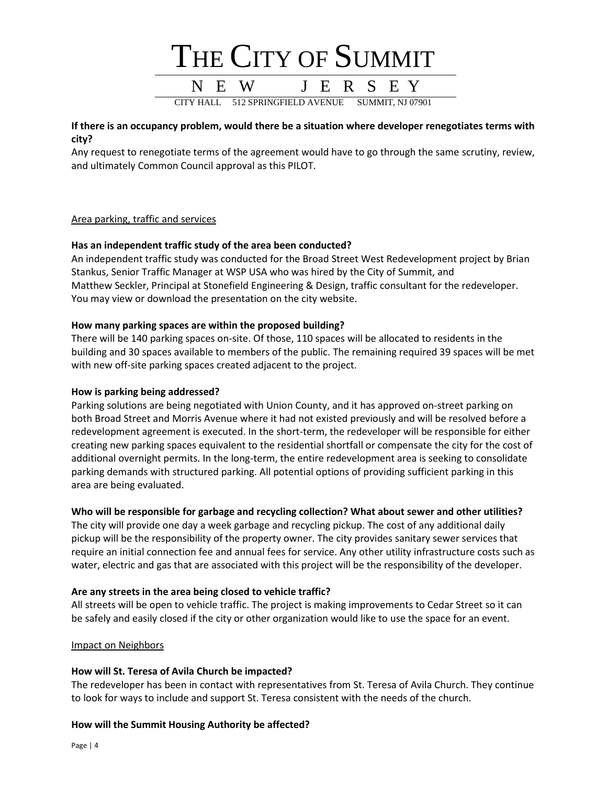

#### **If there is an occupancy problem, would there be a situation where developer renegotiates terms with city?**

Any request to renegotiate terms of the agreement would have to go through the same scrutiny, review, and ultimately Common Council approval as this PILOT.

#### Area parking, traffic and services

#### **Has an independent traffic study of the area been conducted?**

An independent traffic study was conducted for the Broad Street West Redevelopment project by Brian Stankus, Senior Traffic Manager at WSP USA who was hired by the City of Summit, and Matthew Seckler, Principal at Stonefield Engineering & Design, traffic consultant for the redeveloper. You may view or download the presentation on the city website.

#### **How many parking spaces are within the proposed building?**

There will be 140 parking spaces on-site. Of those, 110 spaces will be allocated to residents in the building and 30 spaces available to members of the public. The remaining required 39 spaces will be met with new off-site parking spaces created adjacent to the project.

#### **How is parking being addressed?**

Parking solutions are being negotiated with Union County, and it has approved on-street parking on both Broad Street and Morris Avenue where it had not existed previously and will be resolved before a redevelopment agreement is executed. In the short-term, the redeveloper will be responsible for either creating new parking spaces equivalent to the residential shortfall or compensate the city for the cost of additional overnight permits. In the long-term, the entire redevelopment area is seeking to consolidate parking demands with structured parking. All potential options of providing sufficient parking in this area are being evaluated.

#### **Who will be responsible for garbage and recycling collection? What about sewer and other utilities?**

The city will provide one day a week garbage and recycling pickup. The cost of any additional daily pickup will be the responsibility of the property owner. The city provides sanitary sewer services that require an initial connection fee and annual fees for service. Any other utility infrastructure costs such as water, electric and gas that are associated with this project will be the responsibility of the developer.

#### **Are any streets in the area being closed to vehicle traffic?**

All streets will be open to vehicle traffic. The project is making improvements to Cedar Street so it can be safely and easily closed if the city or other organization would like to use the space for an event.

#### Impact on Neighbors

#### **How will St. Teresa of Avila Church be impacted?**

The redeveloper has been in contact with representatives from St. Teresa of Avila Church. They continue to look for ways to include and support St. Teresa consistent with the needs of the church.

#### **How will the Summit Housing Authority be affected?**